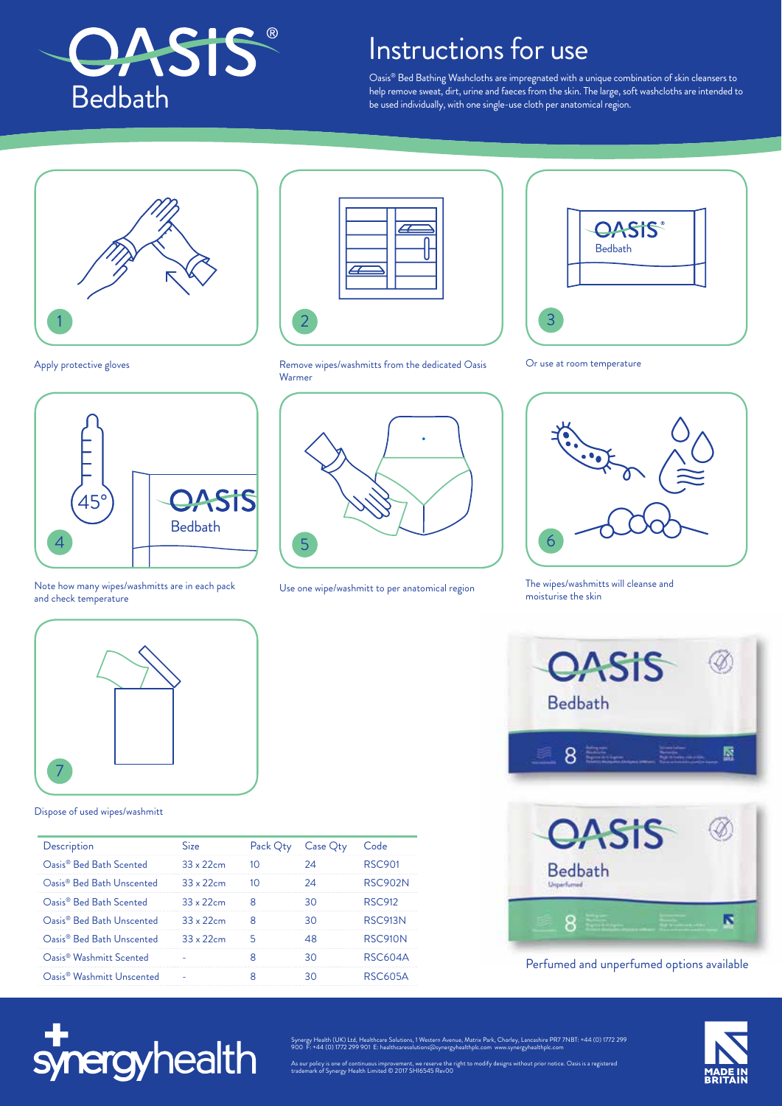

## Instructions for use

Oasis® Bed Bathing Washcloths are impregnated with a unique combination of skin cleansers to help remove sweat, dirt, urine and faeces from the skin. The large, soft washcloths are intended to be used individually, with one single-use cloth per anatomical region.



Apply protective gloves



Note how many wipes/washmitts are in each pack and check temperature







Use one wipe/washmitt to per anatomical region



Or use at room temperature



The wipes/washmitts will cleanse and moisturise the skin





## Perfumed and unperfumed options available



7

## Dispose of used wipes/washmitt

| Description                           | Size              | Pack Qty | Case Qty | Code           |
|---------------------------------------|-------------------|----------|----------|----------------|
| Oasis <sup>®</sup> Bed Bath Scented   | $33 \times 22$ cm | 10       | 24       | RSC901         |
| Oasis <sup>®</sup> Bed Bath Unscented | $33 \times 22$ cm | 10       | 2Δ       | RSC902N        |
| Oasis <sup>®</sup> Bed Bath Scented   | $33 \times 22$ cm | 8        | 30       | RSC912         |
| Oasis <sup>®</sup> Bed Bath Unscented | $33 \times 22$ cm | 8        | 30       | <b>RSC913N</b> |
| Oasis <sup>®</sup> Bed Bath Unscented | $33 \times 22$ cm | 5        | 48       | RSC910N        |
| Oasis <sup>®</sup> Washmitt Scented   |                   |          | 30       | RSC604A        |
| Oasis <sup>®</sup> Washmitt Unscented |                   | 8        | 30       | RSC605A        |
|                                       |                   |          |          |                |



Synergy Health (UK) Ltd, Healthcare Solutions, 1 Western Avenue, Matrix Park, Chorley, Lancashire PR7 7NBT: +44 (0) 1772 299 900 F: +44 (0) 1772 299 901 E: healthcaresolutions@synergyhealthplc.com www.synergyhealthplc.com

As our policy is one of continuous improvement, we reserve the right to modify designs without prior notice. Oasis is a registered trademark of Synergy Health Limited © 2017 SHI6545 Rev00